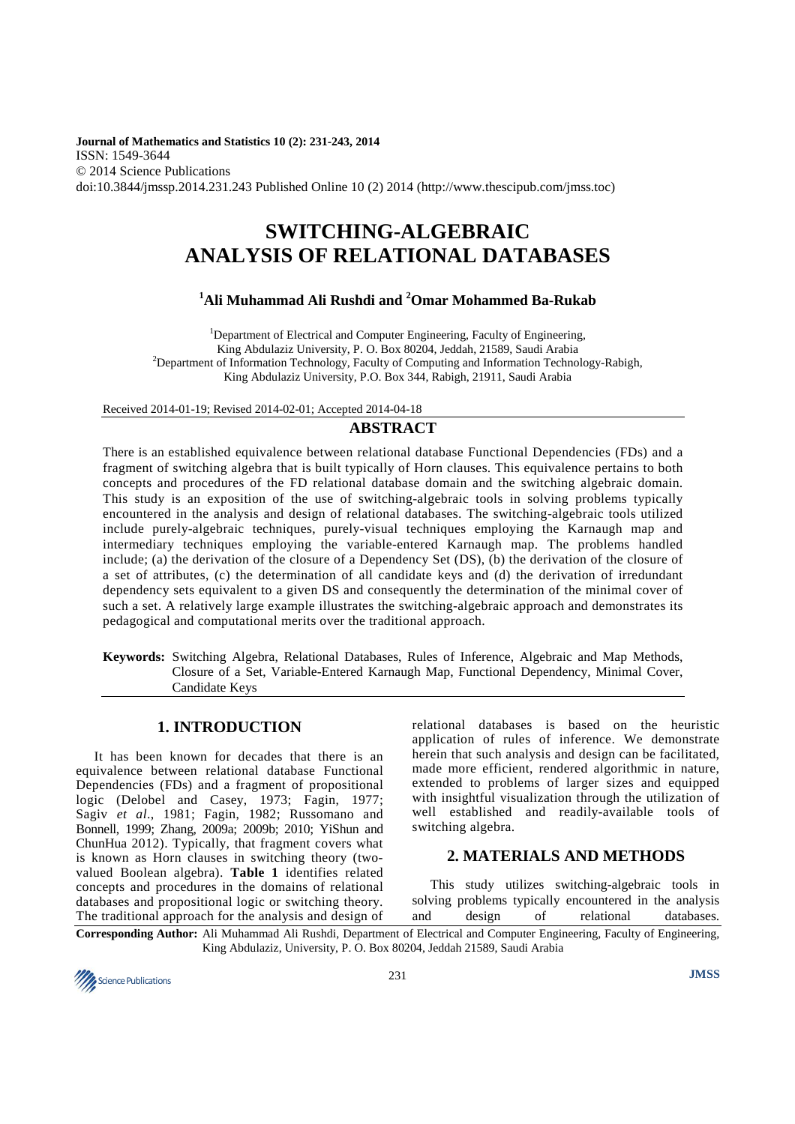**Journal of Mathematics and Statistics 10 (2): 231-243, 2014**  ISSN: 1549-3644 © 2014 Science Publications doi:10.3844/jmssp.2014.231.243 Published Online 10 (2) 2014 (http://www.thescipub.com/jmss.toc)

# **SWITCHING-ALGEBRAIC ANALYSIS OF RELATIONAL DATABASES**

# **<sup>1</sup>Ali Muhammad Ali Rushdi and <sup>2</sup>Omar Mohammed Ba-Rukab**

<sup>1</sup>Department of Electrical and Computer Engineering, Faculty of Engineering, King Abdulaziz University, P. O. Box 80204, Jeddah, 21589, Saudi Arabia <sup>2</sup>Department of Information Technology, Faculty of Computing and Information Technology-Rabigh, King Abdulaziz University, P.O. Box 344, Rabigh, 21911, Saudi Arabia

Received 2014-01-19; Revised 2014-02-01; Accepted 2014-04-18

# **ABSTRACT**

There is an established equivalence between relational database Functional Dependencies (FDs) and a fragment of switching algebra that is built typically of Horn clauses. This equivalence pertains to both concepts and procedures of the FD relational database domain and the switching algebraic domain. This study is an exposition of the use of switching-algebraic tools in solving problems typically encountered in the analysis and design of relational databases. The switching-algebraic tools utilized include purely-algebraic techniques, purely-visual techniques employing the Karnaugh map and intermediary techniques employing the variable-entered Karnaugh map. The problems handled include; (a) the derivation of the closure of a Dependency Set (DS), (b) the derivation of the closure of a set of attributes, (c) the determination of all candidate keys and (d) the derivation of irredundant dependency sets equivalent to a given DS and consequently the determination of the minimal cover of such a set. A relatively large example illustrates the switching-algebraic approach and demonstrates its pedagogical and computational merits over the traditional approach.

**Keywords:** Switching Algebra, Relational Databases, Rules of Inference, Algebraic and Map Methods, Closure of a Set, Variable-Entered Karnaugh Map, Functional Dependency, Minimal Cover, Candidate Keys

# **1. INTRODUCTION**

It has been known for decades that there is an equivalence between relational database Functional Dependencies (FDs) and a fragment of propositional logic (Delobel and Casey, 1973; Fagin, 1977; Sagiv *et al*., 1981; Fagin, 1982; Russomano and Bonnell, 1999; Zhang, 2009a; 2009b; 2010; YiShun and ChunHua 2012). Typically, that fragment covers what is known as Horn clauses in switching theory (twovalued Boolean algebra). **Table 1** identifies related concepts and procedures in the domains of relational databases and propositional logic or switching theory. The traditional approach for the analysis and design of

relational databases is based on the heuristic application of rules of inference. We demonstrate herein that such analysis and design can be facilitated, made more efficient, rendered algorithmic in nature, extended to problems of larger sizes and equipped with insightful visualization through the utilization of well established and readily-available tools of switching algebra.

# **2. MATERIALS AND METHODS**

This study utilizes switching-algebraic tools in solving problems typically encountered in the analysis and design of relational databases.

**Corresponding Author:** Ali Muhammad Ali Rushdi, Department of Electrical and Computer Engineering, Faculty of Engineering, King Abdulaziz, University, P. O. Box 80204, Jeddah 21589, Saudi Arabia

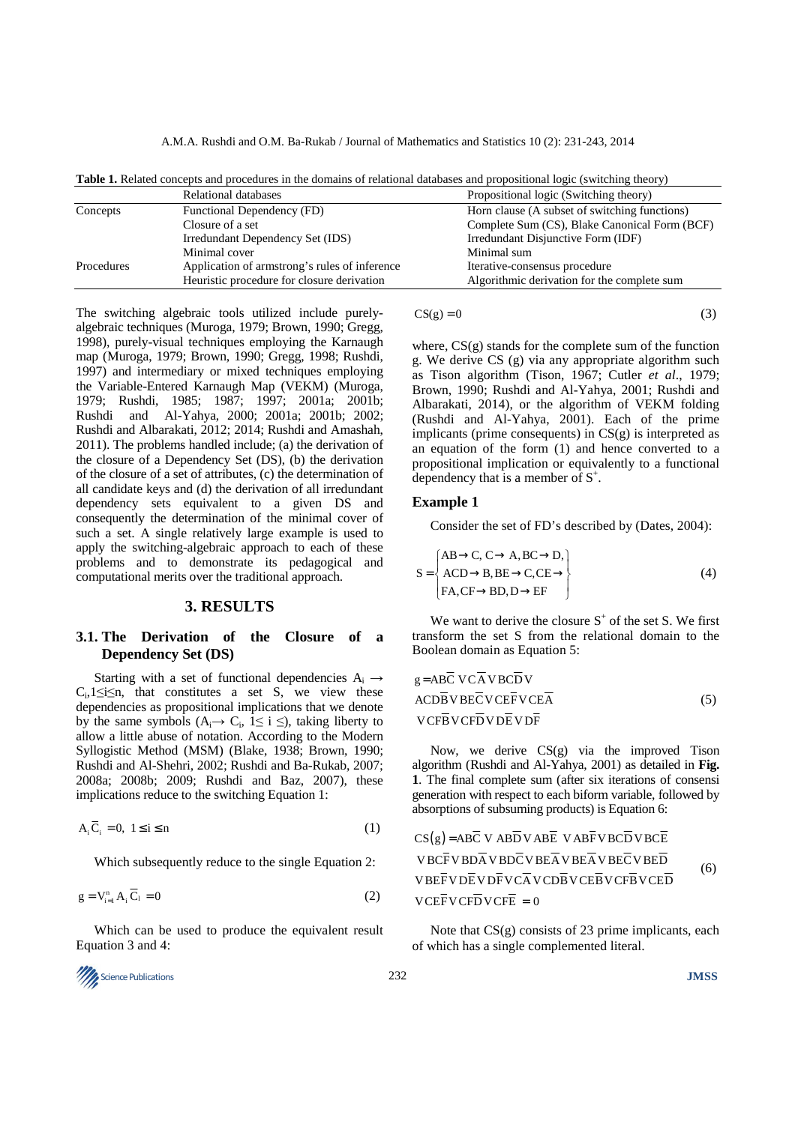| Horn clause (A subset of switching functions) |  |
|-----------------------------------------------|--|
| Complete Sum (CS), Blake Canonical Form (BCF) |  |
| Irredundant Disjunctive Form (IDF)            |  |
|                                               |  |
|                                               |  |
| Algorithmic derivation for the complete sum   |  |
|                                               |  |

**Table 1.** Related concepts and procedures in the domains of relational databases and propositional logic (switching theory)

The switching algebraic tools utilized include purelyalgebraic techniques (Muroga, 1979; Brown, 1990; Gregg, 1998), purely-visual techniques employing the Karnaugh map (Muroga, 1979; Brown, 1990; Gregg, 1998; Rushdi, 1997) and intermediary or mixed techniques employing the Variable-Entered Karnaugh Map (VEKM) (Muroga, 1979; Rushdi, 1985; 1987; 1997; 2001a; 2001b; Rushdi and Al-Yahya, 2000; 2001a; 2001b; 2002; Rushdi and Albarakati, 2012; 2014; Rushdi and Amashah, 2011). The problems handled include; (a) the derivation of the closure of a Dependency Set (DS), (b) the derivation of the closure of a set of attributes, (c) the determination of all candidate keys and (d) the derivation of all irredundant dependency sets equivalent to a given DS and consequently the determination of the minimal cover of such a set. A single relatively large example is used to apply the switching-algebraic approach to each of these problems and to demonstrate its pedagogical and computational merits over the traditional approach.

## **3. RESULTS**

### **3.1. The Derivation of the Closure of a Dependency Set (DS)**

Starting with a set of functional dependencies  $A_i \rightarrow$  $C_i, 1 \le i \le n$ , that constitutes a set S, we view these dependencies as propositional implications that we denote by the same symbols  $(A_i \rightarrow C_i, 1 \le i \le )$ , taking liberty to allow a little abuse of notation. According to the Modern Syllogistic Method (MSM) (Blake, 1938; Brown, 1990; Rushdi and Al-Shehri, 2002; Rushdi and Ba-Rukab, 2007; 2008a; 2008b; 2009; Rushdi and Baz, 2007), these implications reduce to the switching Equation 1:

$$
A_i \overline{C}_i = 0, \ 1 \le i \le n \tag{1}
$$

Which subsequently reduce to the single Equation 2:

$$
g = V_{i=1}^{n} A_{i} \overline{C}_{1} = 0
$$
 (2)

Which can be used to produce the equivalent result Equation 3 and 4:



$$
CS(g) = 0 \tag{3}
$$

where, CS(g) stands for the complete sum of the function g. We derive CS (g) via any appropriate algorithm such as Tison algorithm (Tison, 1967; Cutler *et al*., 1979; Brown, 1990; Rushdi and Al-Yahya, 2001; Rushdi and Albarakati, 2014), or the algorithm of VEKM folding (Rushdi and Al-Yahya, 2001). Each of the prime implicants (prime consequents) in  $CS(g)$  is interpreted as an equation of the form (1) and hence converted to a propositional implication or equivalently to a functional dependency that is a member of  $S^+$ .

### **Example 1**

Consider the set of FD's described by (Dates, 2004):

$$
S = \begin{cases} AB \rightarrow C, C \rightarrow A, BC \rightarrow D, \\ ACD \rightarrow B, BE \rightarrow C, CE \rightarrow \\ FA, CF \rightarrow BD, D \rightarrow EF \end{cases}
$$
(4)

We want to derive the closure  $S^+$  of the set S. We first transform the set S from the relational domain to the Boolean domain as Equation 5:

$$
g = ABC VCA VBCDV
$$
  
ACD $\overline{B} V BE\overline{C} V CE\overline{F} V CE\overline{A}$  (5)  
VCF $\overline{B} V CF\overline{D} V D\overline{E} V D\overline{F}$ 

Now, we derive CS(g) via the improved Tison algorithm (Rushdi and Al-Yahya, 2001) as detailed in **Fig. 1**. The final complete sum (after six iterations of consensi generation with respect to each biform variable, followed by absorptions of subsuming products) is Equation 6:

$$
CS(g) = ABC V ABD V ABE V ABF V BCD V BCE
$$
  
\n
$$
V B C \overline{F} V B D \overline{A} V B D \overline{C} V B E \overline{A} V B E \overline{A} V B E \overline{C} V B E \overline{D}
$$
  
\n
$$
V B E \overline{F} V D \overline{E} V D \overline{F} V C \overline{A} V C D \overline{B} V C E \overline{B} V C F \overline{B} V C E \overline{D}
$$
  
\n
$$
V C E \overline{F} V C F \overline{D} V C F \overline{E} = 0
$$
 (6)

Note that  $CS(g)$  consists of 23 prime implicants, each of which has a single complemented literal.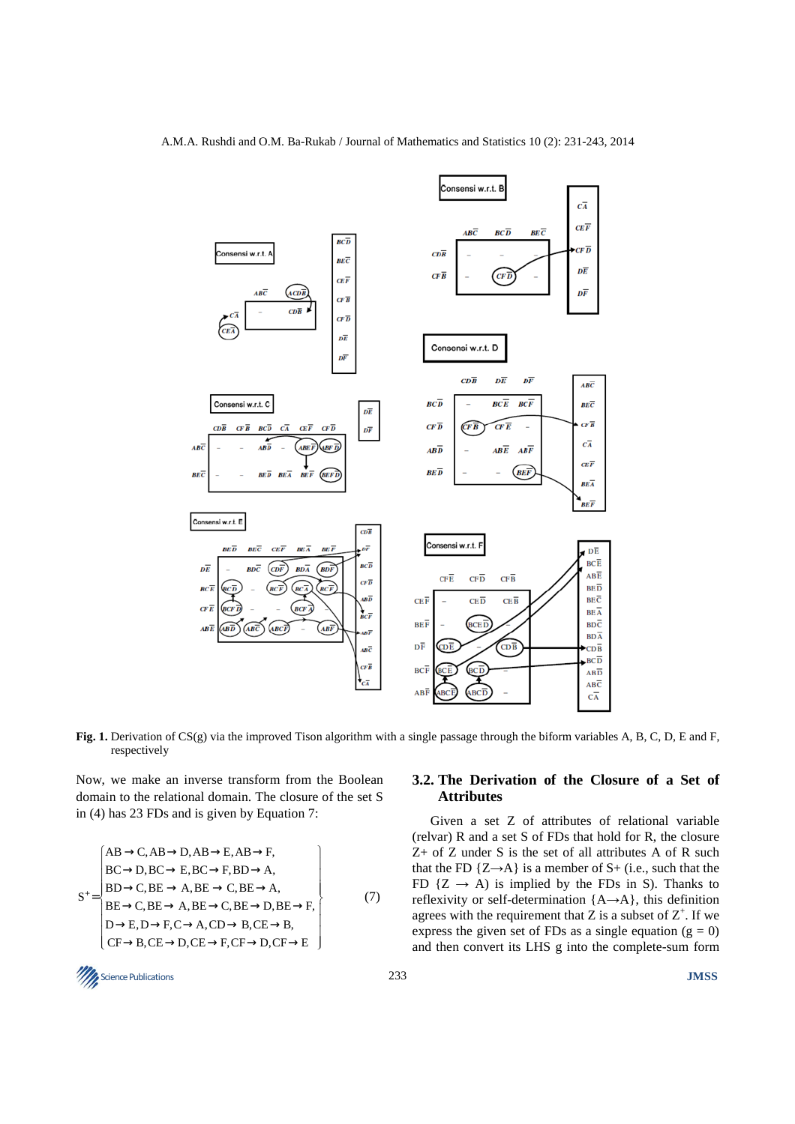

**Fig. 1.** Derivation of CS(g) via the improved Tison algorithm with a single passage through the biform variables A, B, C, D, E and F, respectively

Now, we make an inverse transform from the Boolean domain to the relational domain. The closure of the set S in (4) has 23 FDs and is given by Equation 7:

$$
S^{+} = \begin{cases} AB \rightarrow C, AB \rightarrow D, AB \rightarrow E, AB \rightarrow F, \\ BC \rightarrow D, BC \rightarrow E, BC \rightarrow F, BD \rightarrow A, \\ BD \rightarrow C, BE \rightarrow A, BE \rightarrow C, BE \rightarrow A, \\ BE \rightarrow C, BE \rightarrow A, BE \rightarrow C, BE \rightarrow D, BE \rightarrow F, \\ D \rightarrow E, D \rightarrow F, C \rightarrow A, CD \rightarrow B, CE \rightarrow B, \\ CF \rightarrow B, CE \rightarrow D, CE \rightarrow F, CF \rightarrow D, CF \rightarrow E \end{cases}
$$
(7)

# **3.2. The Derivation of the Closure of a Set of Attributes**

Given a set Z of attributes of relational variable (relvar) R and a set S of FDs that hold for R, the closure Z+ of Z under S is the set of all attributes A of R such that the FD  $\{Z \rightarrow A\}$  is a member of S+ (i.e., such that the FD  $\{Z \rightarrow A\}$  is implied by the FDs in S). Thanks to reflexivity or self-determination {A→A}, this definition agrees with the requirement that Z is a subset of  $Z^+$ . If we express the given set of FDs as a single equation ( $g = 0$ ) and then convert its LHS g into the complete-sum form

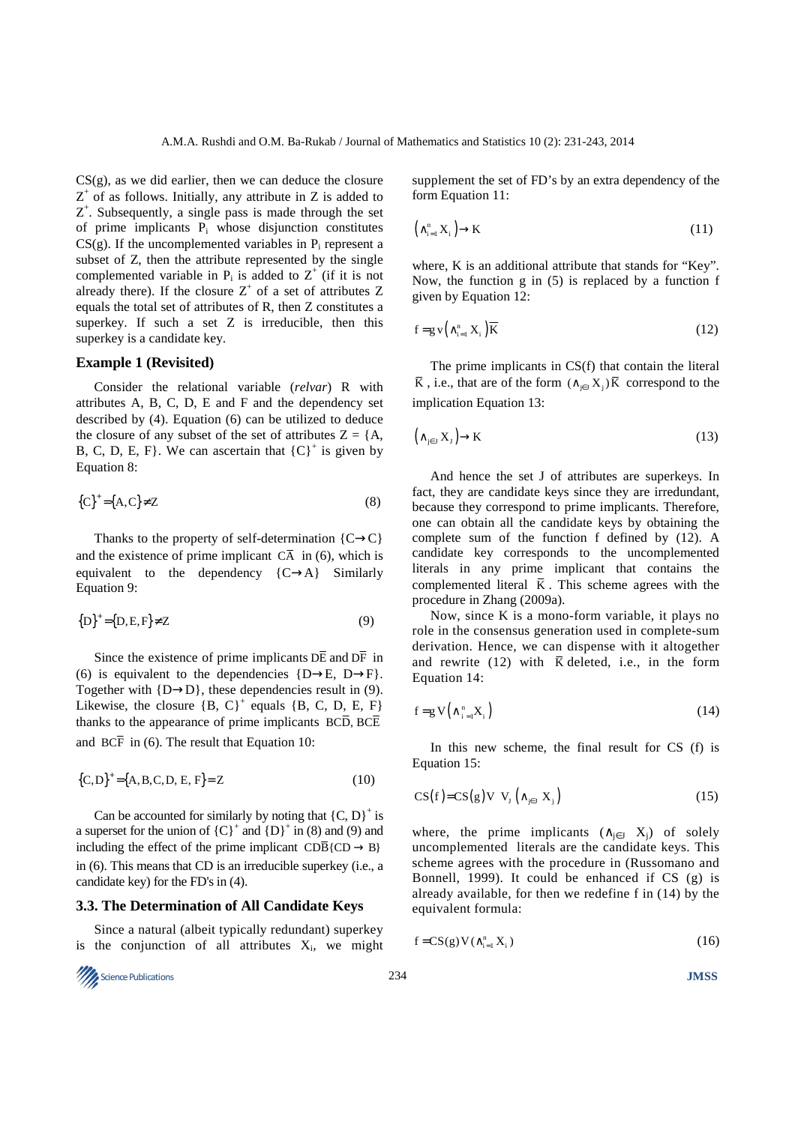$CS(g)$ , as we did earlier, then we can deduce the closure  $Z^+$  of as follows. Initially, any attribute in Z is added to  $Z^+$ . Subsequently, a single pass is made through the set of prime implicants P<sup>i</sup> whose disjunction constitutes  $CS(g)$ . If the uncomplemented variables in  $P_i$  represent a subset of Z, then the attribute represented by the single complemented variable in  $P_i$  is added to  $Z^+$  (if it is not already there). If the closure  $Z^+$  of a set of attributes  $Z$ equals the total set of attributes of R, then Z constitutes a superkey. If such a set Z is irreducible, then this superkey is a candidate key.

#### **Example 1 (Revisited)**

Consider the relational variable (*relvar*) R with attributes A, B, C, D, E and F and the dependency set described by (4). Equation (6) can be utilized to deduce the closure of any subset of the set of attributes  $Z = \{A,$ B, C, D, E, F}. We can ascertain that  ${C}^{\dagger}$  is given by Equation 8:

$$
\{C\}^+ = \{A, C\} \neq Z \tag{8}
$$

Thanks to the property of self-determination  ${C \rightarrow C}$ and the existence of prime implicant  $C\overline{A}$  in (6), which is equivalent to the dependency  ${C \rightarrow A}$  Similarly Equation 9:

$$
\{D\}^+ = \{D, E, F\} \neq Z \tag{9}
$$

Since the existence of prime implicants  $D\overline{E}$  and  $D\overline{F}$  in (6) is equivalent to the dependencies  ${D\rightarrow E, D\rightarrow F}$ . Together with  ${D\rightarrow}D$ , these dependencies result in (9). Likewise, the closure  ${B, C}^+$  equals  ${B, C, D, E, F}$ thanks to the appearance of prime implicants  $BC\overline{D}$ ,  $BC\overline{E}$ and  $BC\overline{F}$  in (6). The result that Equation 10:

$$
{C,D}^+ = {A,B,C,D,E,F} = Z
$$
 (10)

Can be accounted for similarly by noting that  ${C, D}^+$  is a superset for the union of  ${C}^{\dagger}$  and  ${D}^{\dagger}$  in (8) and (9) and including the effect of the prime implicant  $CD\overline{B}$ {CD  $\rightarrow$  B} in (6). This means that CD is an irreducible superkey (i.e., a candidate key) for the FD's in (4).

#### **3.3. The Determination of All Candidate Keys**

Since a natural (albeit typically redundant) superkey is the conjunction of all attributes  $X_i$ , we might



supplement the set of FD's by an extra dependency of the form Equation 11:

$$
\left(\wedge_{i=1}^{n} X_{i}\right) \to K\tag{11}
$$

where, K is an additional attribute that stands for "Key". Now, the function g in (5) is replaced by a function f given by Equation 12:

$$
f = g \, v \left( \bigwedge_{i=1}^{n} X_i \right) \overline{K} \tag{12}
$$

The prime implicants in CS(f) that contain the literal  $\overline{K}$ , i.e., that are of the form  $(\wedge_{j \in J} X_j) \overline{K}$  correspond to the implication Equation 13:

$$
\left(\wedge_{j\in J} X_j\right) \to K\tag{13}
$$

And hence the set J of attributes are superkeys. In fact, they are candidate keys since they are irredundant, because they correspond to prime implicants. Therefore, one can obtain all the candidate keys by obtaining the complete sum of the function f defined by (12). A candidate key corresponds to the uncomplemented literals in any prime implicant that contains the complemented literal  $\overline{K}$ . This scheme agrees with the procedure in Zhang (2009a).

Now, since K is a mono-form variable, it plays no role in the consensus generation used in complete-sum derivation. Hence, we can dispense with it altogether and rewrite (12) with  $\overline{K}$  deleted, i.e., in the form Equation 14:

$$
f = g V \left( \wedge_{i=1}^{n} X_i \right) \tag{14}
$$

In this new scheme, the final result for CS (f) is Equation 15:

$$
CS(f) = CS(g)V Vj (\wedge_{j \in J} X_j)
$$
 (15)

where, the prime implicants  $(\wedge_{j\in J} X_j)$  of solely uncomplemented literals are the candidate keys. This scheme agrees with the procedure in (Russomano and Bonnell, 1999). It could be enhanced if CS (g) is already available, for then we redefine f in (14) by the equivalent formula:

$$
f = CS(g)V(\wedge_{i=1}^{n} X_i)
$$
 (16)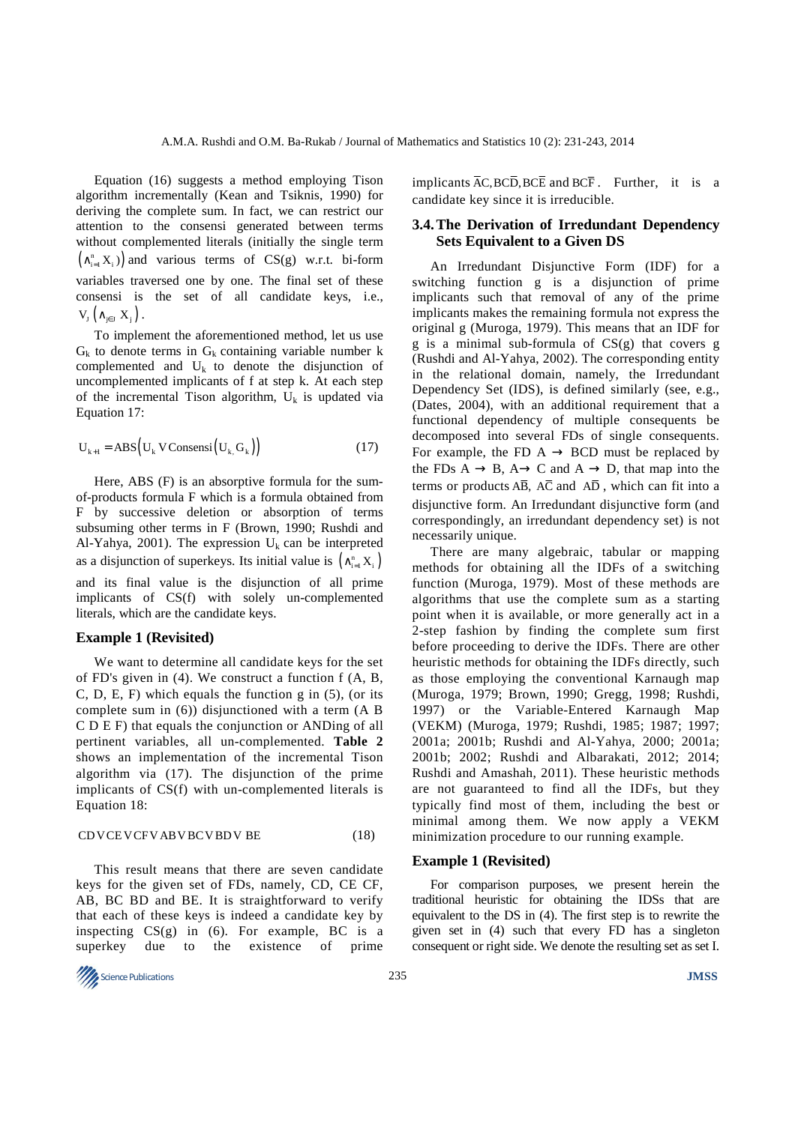Equation (16) suggests a method employing Tison algorithm incrementally (Kean and Tsiknis, 1990) for deriving the complete sum. In fact, we can restrict our attention to the consensi generated between terms without complemented literals (initially the single term  $(\wedge_{i=1}^{n} X_i)$  and various terms of CS(g) w.r.t. bi-form variables traversed one by one. The final set of these consensi is the set of all candidate keys, i.e.,  $V_i (\wedge_{i \in I} X_i)$ .

To implement the aforementioned method, let us use  $G_k$  to denote terms in  $G_k$  containing variable number k complemented and  $U_k$  to denote the disjunction of uncomplemented implicants of f at step k. At each step of the incremental Tison algorithm,  $U_k$  is updated via Equation 17:

$$
U_{k+1} = ABS(U_k V Consensi(U_k, G_k))
$$
\n(17)

Here, ABS (F) is an absorptive formula for the sumof-products formula F which is a formula obtained from F by successive deletion or absorption of terms subsuming other terms in F (Brown, 1990; Rushdi and Al-Yahya, 2001). The expression  $U_k$  can be interpreted as a disjunction of superkeys. Its initial value is  $(\wedge_{i=1}^n X_i)$ and its final value is the disjunction of all prime implicants of CS(f) with solely un-complemented literals, which are the candidate keys.

### **Example 1 (Revisited)**

We want to determine all candidate keys for the set of FD's given in (4). We construct a function f (A, B, C, D, E, F) which equals the function  $g$  in  $(5)$ , (or its complete sum in (6)) disjunctioned with a term (A B C D E F) that equals the conjunction or ANDing of all pertinent variables, all un-complemented. **Table 2** shows an implementation of the incremental Tison algorithm via (17). The disjunction of the prime implicants of CS(f) with un-complemented literals is Equation 18:

#### CDVCE VCFV ABV BCV BDV BE (18)

This result means that there are seven candidate keys for the given set of FDs, namely, CD, CE CF, AB, BC BD and BE. It is straightforward to verify that each of these keys is indeed a candidate key by inspecting  $CS(g)$  in (6). For example, BC is a superkey due to the existence of prime

**Science Publications JMSS JMSS JMSS JMSS** 

implicants  $AC$ ,  $BC\overline{D}$ ,  $BC\overline{E}$  and  $BC\overline{F}$ . Further, it is a candidate key since it is irreducible.

## **3.4. The Derivation of Irredundant Dependency Sets Equivalent to a Given DS**

An Irredundant Disjunctive Form (IDF) for a switching function g is a disjunction of prime implicants such that removal of any of the prime implicants makes the remaining formula not express the original g (Muroga, 1979). This means that an IDF for g is a minimal sub-formula of CS(g) that covers g (Rushdi and Al-Yahya, 2002). The corresponding entity in the relational domain, namely, the Irredundant Dependency Set (IDS), is defined similarly (see, e.g., (Dates, 2004), with an additional requirement that a functional dependency of multiple consequents be decomposed into several FDs of single consequents. For example, the FD  $A \rightarrow BCD$  must be replaced by the FDs  $A \rightarrow B$ ,  $A \rightarrow C$  and  $A \rightarrow D$ , that map into the terms or products  $\overline{AB}$ ,  $\overline{AC}$  and  $\overline{AD}$ , which can fit into a disjunctive form. An Irredundant disjunctive form (and correspondingly, an irredundant dependency set) is not necessarily unique.

There are many algebraic, tabular or mapping methods for obtaining all the IDFs of a switching function (Muroga, 1979). Most of these methods are algorithms that use the complete sum as a starting point when it is available, or more generally act in a 2-step fashion by finding the complete sum first before proceeding to derive the IDFs. There are other heuristic methods for obtaining the IDFs directly, such as those employing the conventional Karnaugh map (Muroga, 1979; Brown, 1990; Gregg, 1998; Rushdi, 1997) or the Variable-Entered Karnaugh Map (VEKM) (Muroga, 1979; Rushdi, 1985; 1987; 1997; 2001a; 2001b; Rushdi and Al-Yahya, 2000; 2001a; 2001b; 2002; Rushdi and Albarakati, 2012; 2014; Rushdi and Amashah, 2011). These heuristic methods are not guaranteed to find all the IDFs, but they typically find most of them, including the best or minimal among them. We now apply a VEKM minimization procedure to our running example.

#### **Example 1 (Revisited)**

For comparison purposes, we present herein the traditional heuristic for obtaining the IDSs that are equivalent to the DS in (4). The first step is to rewrite the given set in (4) such that every FD has a singleton consequent or right side. We denote the resulting set as set I.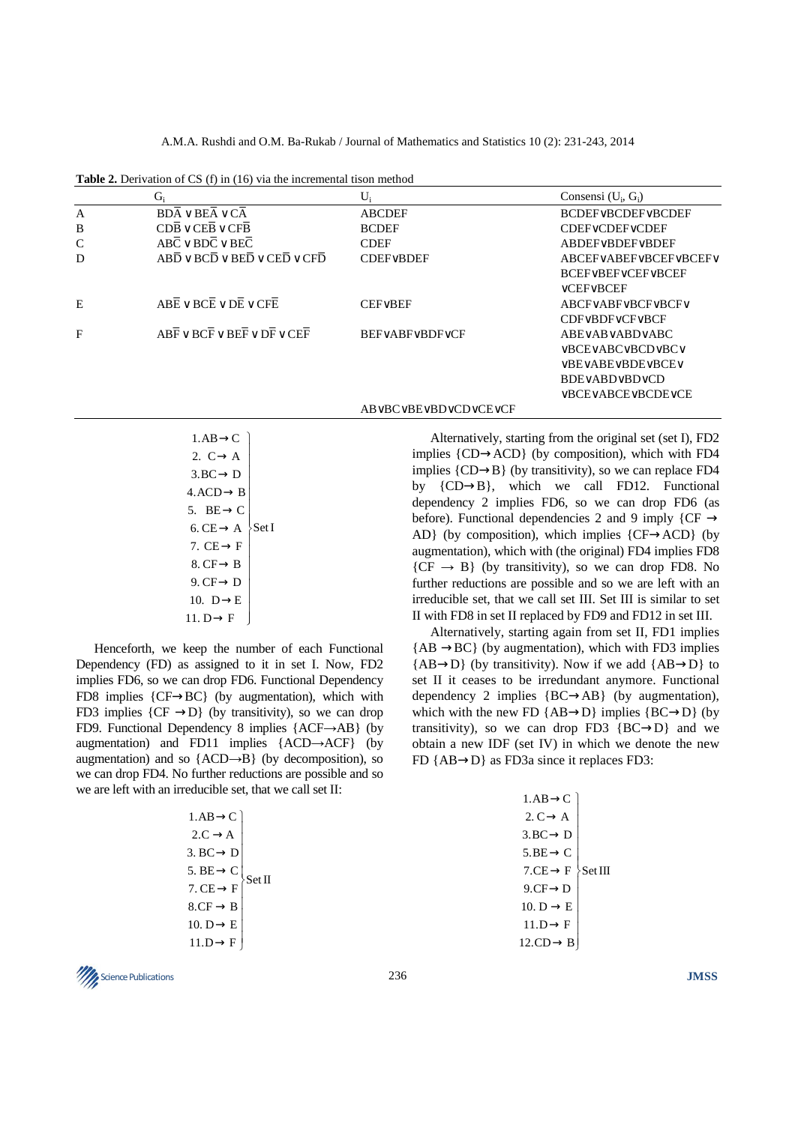A.M.A. Rushdi and O.M. Ba-Rukab / Journal of Mathematics and Statistics 10 (2): 231-243, 2014

**Table 2.** Derivation of CS (f) in (16) via the incremental tison method

|              | G,                                                                                              | U,                    | Consensi $(U_i, G_i)$                        |
|--------------|-------------------------------------------------------------------------------------------------|-----------------------|----------------------------------------------|
| $\mathbf{A}$ | $BDA \vee BEA \vee CA$                                                                          | <b>ABCDEF</b>         | <b>BCDEFVBCDEFVBCDEF</b>                     |
| B            | $CDB \vee CEB \vee CFB$                                                                         | <b>BCDEF</b>          | <b>CDEFVCDEFVCDEF</b>                        |
| C            | $ABC \vee BDC \vee BEC$                                                                         | <b>CDEF</b>           | ABDEF∨BDEF∨BDEF                              |
| D            | $ABD \vee BCD \vee BED \vee CED \vee CFD$                                                       | CDFFVBDEF             | ABCEFVABEFVBCEFVBCEFV                        |
|              |                                                                                                 |                       | <b>BCEFVBEFVCEFVBCEF</b>                     |
|              |                                                                                                 |                       | $\vee$ CEF $\vee$ BCEF                       |
| E            | $ABE \vee BCE \vee DE \vee CE$                                                                  | $CEF\vee BEF$         | ABCFVABFVBCFVBCFV                            |
|              |                                                                                                 |                       | <b>CDFVBDFVCFVBCF</b>                        |
| F            | $AB\overline{F} \vee BC\overline{F} \vee BE\overline{F} \vee D\overline{F} \vee CE\overline{F}$ | <b>BEFVABFVBDFVCF</b> | $ABE\vee AB\vee ABD\vee ABC$                 |
|              |                                                                                                 |                       | ∨BCE∨ABC∨BCD∨BC∨                             |
|              |                                                                                                 |                       | <b>VBEVABEVBDEVBCEV</b>                      |
|              |                                                                                                 |                       | BDE∨ABD∨BD∨CD                                |
|              |                                                                                                 |                       | $\vee$ BCE $\vee$ ABCE $\vee$ BCDE $\vee$ CE |
|              |                                                                                                 | AB∨BC∨BE∨BD∨CD∨CE∨CF  |                                              |

| $1.AB \rightarrow C$   |        |
|------------------------|--------|
| 2. $C \rightarrow A$   |        |
| $3.BC \rightarrow D$   |        |
| $4. ACD \rightarrow B$ |        |
| 5. BE $\rightarrow$ C  |        |
| $6. CE \rightarrow A$  | ∑Set I |
| 7. $CE \rightarrow F$  |        |
| 8. CF $\rightarrow$ B  |        |
| 9. $CF \rightarrow D$  |        |
| 10. $D \rightarrow E$  |        |
| 11. D $\rightarrow$ F  |        |

Henceforth, we keep the number of each Functional Dependency (FD) as assigned to it in set I. Now, FD2 implies FD6, so we can drop FD6. Functional Dependency FD8 implies {CF→BC} (by augmentation), which with FD3 implies  $\{CF \rightarrow D\}$  (by transitivity), so we can drop FD9. Functional Dependency 8 implies {ACF→AB} (by augmentation) and FD11 implies {ACD→ACF} (by augmentation) and so  ${ACD \rightarrow B}$  (by decomposition), so we can drop FD4. No further reductions are possible and so we are left with an irreducible set, that we call set II:

| $1.AB \rightarrow C$  |       |
|-----------------------|-------|
| $2.C \rightarrow A$   |       |
| $3. BC \rightarrow D$ |       |
| 5. $BE \rightarrow C$ | Set I |
| $7. CE \rightarrow F$ |       |
| $8.CF \rightarrow B$  |       |
| 10. $D \rightarrow E$ |       |
| $11.D \rightarrow F$  |       |
|                       |       |

Alternatively, starting from the original set (set I), FD2 implies {CD→ACD} (by composition), which with FD4 implies  ${CD \rightarrow B}$  (by transitivity), so we can replace FD4 by {CD→B}, which we call FD12. Functional dependency 2 implies FD6, so we can drop FD6 (as before). Functional dependencies 2 and 9 imply { $CF \rightarrow$ AD} (by composition), which implies  ${CF\rightarrow ACD}$  (by augmentation), which with (the original) FD4 implies FD8  ${CF \rightarrow B}$  (by transitivity), so we can drop FD8. No further reductions are possible and so we are left with an irreducible set, that we call set III. Set III is similar to set II with FD8 in set II replaced by FD9 and FD12 in set III.

Alternatively, starting again from set II, FD1 implies  ${AB \rightarrow BC}$  (by augmentation), which with FD3 implies  ${AB\rightarrow}D$ } (by transitivity). Now if we add  ${AB\rightarrow}D$ } to set II it ceases to be irredundant anymore. Functional dependency 2 implies {BC→AB} (by augmentation), which with the new FD  ${AB\rightarrow}D$ } implies  ${BC\rightarrow}D$ } (by transitivity), so we can drop FD3  ${BC\rightarrow D}$  and we obtain a new IDF (set IV) in which we denote the new FD {AB→D} as FD3a since it replaces FD3:

| $1.AB \rightarrow C$     |         |
|--------------------------|---------|
| 2. $C \rightarrow A$     |         |
| $3.BC \rightarrow D$     |         |
| $5.BE \rightarrow C$     |         |
| $7.CE \rightarrow F$     | Set III |
| $9.CF \rightarrow D$     |         |
| 10. $D \rightarrow E$    |         |
| $11.D \rightarrow F$     |         |
| $12$ .CD $\rightarrow$ B |         |
|                          |         |

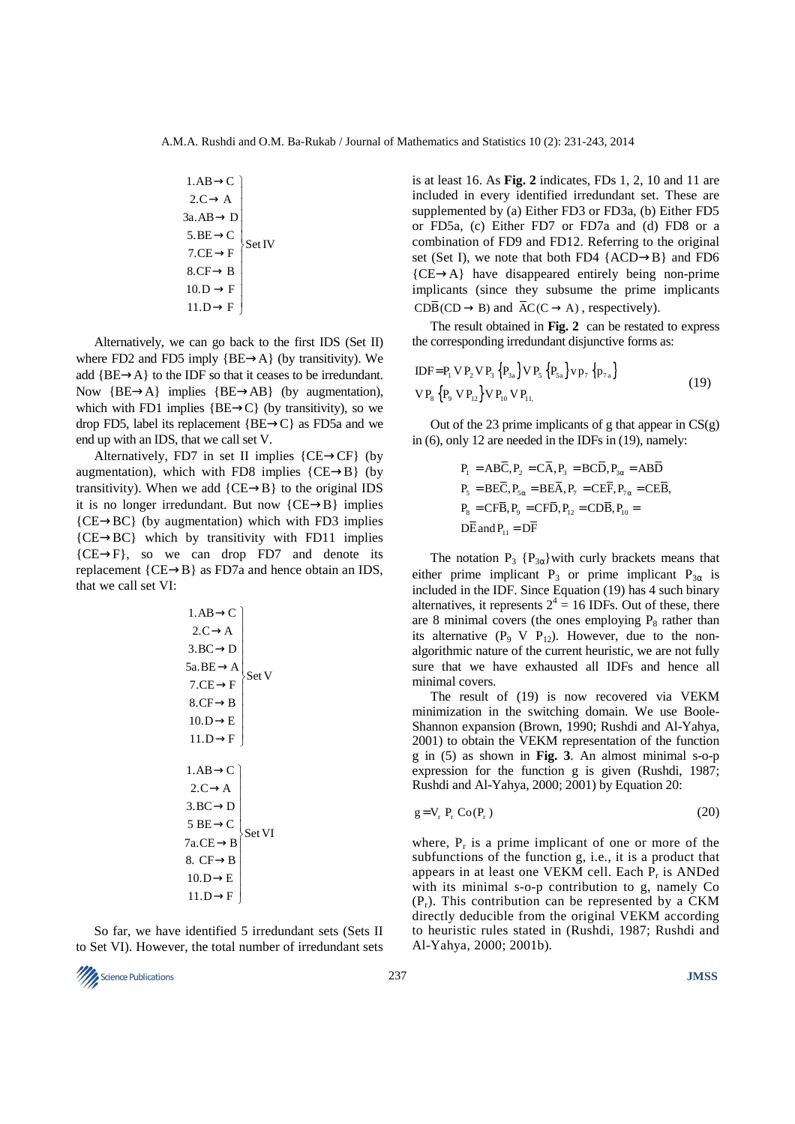1.AB C 2.C A 3a.AB D 5.BE C Set IV 7.CE F 8.CF B 10.D F 11.D F → <sup>→</sup> → → → → → <sup>→</sup> 

Alternatively, we can go back to the first IDS (Set II) where FD2 and FD5 imply  ${BE\rightarrow A}$  (by transitivity). We add {BE→A} to the IDF so that it ceases to be irredundant. Now  ${BE\rightarrow A}$  implies  ${BE\rightarrow AB}$  (by augmentation), which with FD1 implies  ${BE\rightarrow C}$  (by transitivity), so we drop FD5, label its replacement {BE→C} as FD5a and we end up with an IDS, that we call set V.

Alternatively, FD7 in set II implies  ${CE \rightarrow CF}$  (by augmentation), which with FD8 implies  ${CE \rightarrow B}$  (by transitivity). When we add  ${CE \rightarrow B}$  to the original IDS it is no longer irredundant. But now  ${CE \rightarrow B}$  implies  ${CE}\rightarrow{BC}$  (by augmentation) which with FD3 implies {CE→BC} which by transitivity with FD11 implies  ${C\to F}$ , so we can drop FD7 and denote its replacement  ${CE \rightarrow B}$  as FD7a and hence obtain an IDS, that we call set VI:

1.AB \t\t
$$
\rightarrow
$$
C  
\n2.C \t $\rightarrow$ A  
\n3.BC \t $\rightarrow$ D  
\n5a.BE \t $\rightarrow$ A  
\n7.CE \t $\rightarrow$ F  
\n8.CF \t $\rightarrow$ B  
\n10.D \t $\rightarrow$ E  
\n11.D \t $\rightarrow$ F  
\n1.AB \t $\rightarrow$ C  
\n2.C \t $\rightarrow$ A  
\n3.BC \t $\rightarrow$ D  
\n5 BE \t $\rightarrow$ C  
\n7a.CE \t $\rightarrow$ B  
\n8. CF \t $\rightarrow$ B  
\n10.D \t $\rightarrow$ E  
\n11.D \t $\rightarrow$ F  
\n11.D \t $\rightarrow$ F

So far, we have identified 5 irredundant sets (Sets II to Set VI). However, the total number of irredundant sets



is at least 16. As **Fig. 2** indicates, FDs 1, 2, 10 and 11 are included in every identified irredundant set. These are supplemented by (a) Either FD3 or FD3a, (b) Either FD5 or FD5a, (c) Either FD7 or FD7a and (d) FD8 or a combination of FD9 and FD12. Referring to the original set (Set I), we note that both FD4 {ACD→B} and FD6  ${CE \rightarrow A}$  have disappeared entirely being non-prime implicants (since they subsume the prime implicants  $CD\overline{B}(CD \to B)$  and  $\overline{A}C(C \to A)$ , respectively).

The result obtained in **Fig. 2** can be restated to express the corresponding irredundant disjunctive forms as:

$$
IDF = P_1 VP_2 VP_3 \{P_{3a}\} VP_5 \{P_{5a}\} VP_7 \{p_{7a}\}\n\nVP_8 \{P_9 VP_{12}\} VP_{10} VP_{11}.\n\n(19)
$$

Out of the 23 prime implicants of g that appear in  $CS(g)$ in (6), only 12 are needed in the IDFs in (19), namely:

$$
P_1 = AB\overline{C}, P_2 = C\overline{A}, P_3 = BC\overline{D}, P_{3\alpha} = A\overline{B}\overline{D}
$$
  
\n
$$
P_5 = BE\overline{C}, P_{5\alpha} = BE\overline{A}, P_7 = CE\overline{F}, P_{7\alpha} = CE\overline{B},
$$
  
\n
$$
P_8 = CF\overline{B}, P_9 = CF\overline{D}, P_{12} = CD\overline{B}, P_{10} =
$$
  
\n
$$
D\overline{E} \text{ and } P_{11} = D\overline{F}
$$

The notation  $P_3$  { $P_{3\alpha}$ } with curly brackets means that either prime implicant P<sub>3</sub> or prime implicant P<sub>3 $\alpha$ </sub> is included in the IDF. Since Equation (19) has 4 such binary alternatives, it represents  $2^4 = 16$  IDFs. Out of these, there are 8 minimal covers (the ones employing  $P_8$  rather than its alternative  $(P_9 \tV P_{12})$ . However, due to the nonalgorithmic nature of the current heuristic, we are not fully sure that we have exhausted all IDFs and hence all minimal covers.

The result of (19) is now recovered via VEKM minimization in the switching domain. We use Boole-Shannon expansion (Brown, 1990; Rushdi and Al-Yahya, 2001) to obtain the VEKM representation of the function g in (5) as shown in **Fig. 3**. An almost minimal s-o-p expression for the function g is given (Rushdi, 1987; Rushdi and Al-Yahya, 2000; 2001) by Equation 20:

$$
g = V_r P_r Co(P_r)
$$
 (20)

where,  $P_r$  is a prime implicant of one or more of the subfunctions of the function g, i.e., it is a product that appears in at least one VEKM cell. Each  $P_r$  is ANDed with its minimal s-o-p contribution to g, namely Co  $(P_r)$ . This contribution can be represented by a CKM directly deducible from the original VEKM according to heuristic rules stated in (Rushdi, 1987; Rushdi and Al-Yahya, 2000; 2001b).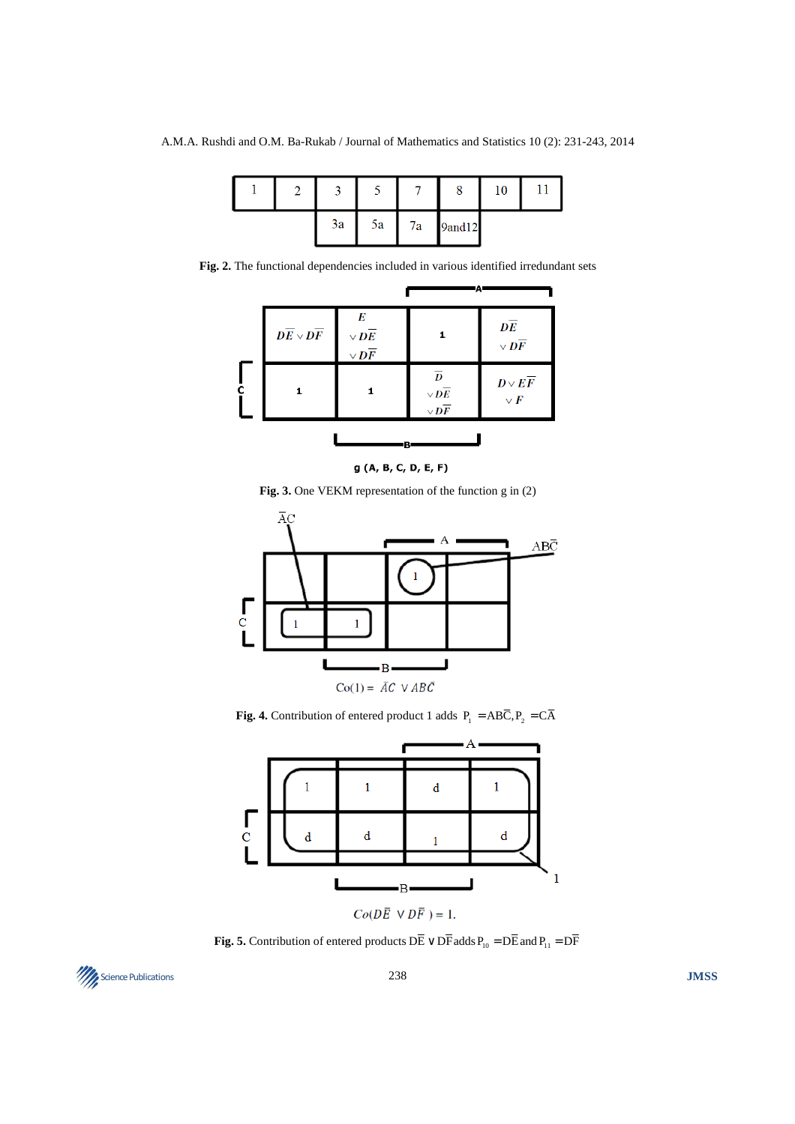|  |    |    |    |        | 10 |  |
|--|----|----|----|--------|----|--|
|  | 3a | 5a | 7a | 9and12 |    |  |

**Fig. 2.** The functional dependencies included in various identified irredundant sets

|   |                                    |                                                                | Ά                                                                  |                                                    |
|---|------------------------------------|----------------------------------------------------------------|--------------------------------------------------------------------|----------------------------------------------------|
|   | $\overline{DE} \vee \overline{DF}$ | E<br>$\vee$ $\overline{DE}$<br>$\vee$ $\overline{\mathbf{D}F}$ | 1.                                                                 | $\overline{DE}$<br>$\vee$ $\overline{\mathit{DF}}$ |
| ċ |                                    | 1                                                              | $\overline{D}$<br>$\vee$ $\overline{DE}$<br>$\vee$ $\overline{DF}$ | $D \vee E \overline{F}$<br>$\vee$ $\overline{F}$   |
|   |                                    | в                                                              |                                                                    |                                                    |

g (A, B, C, D, E, F)

**Fig. 3.** One VEKM representation of the function g in (2)



**Fig. 4.** Contribution of entered product 1 adds  $P_1 = AB\overline{C}$ ,  $P_2 = C\overline{A}$ 



**Fig. 5.** Contribution of entered products  $D\overline{E} \vee D\overline{F}$  adds  $P_{10} = D\overline{E}$  and  $P_{11} = D\overline{F}$ 

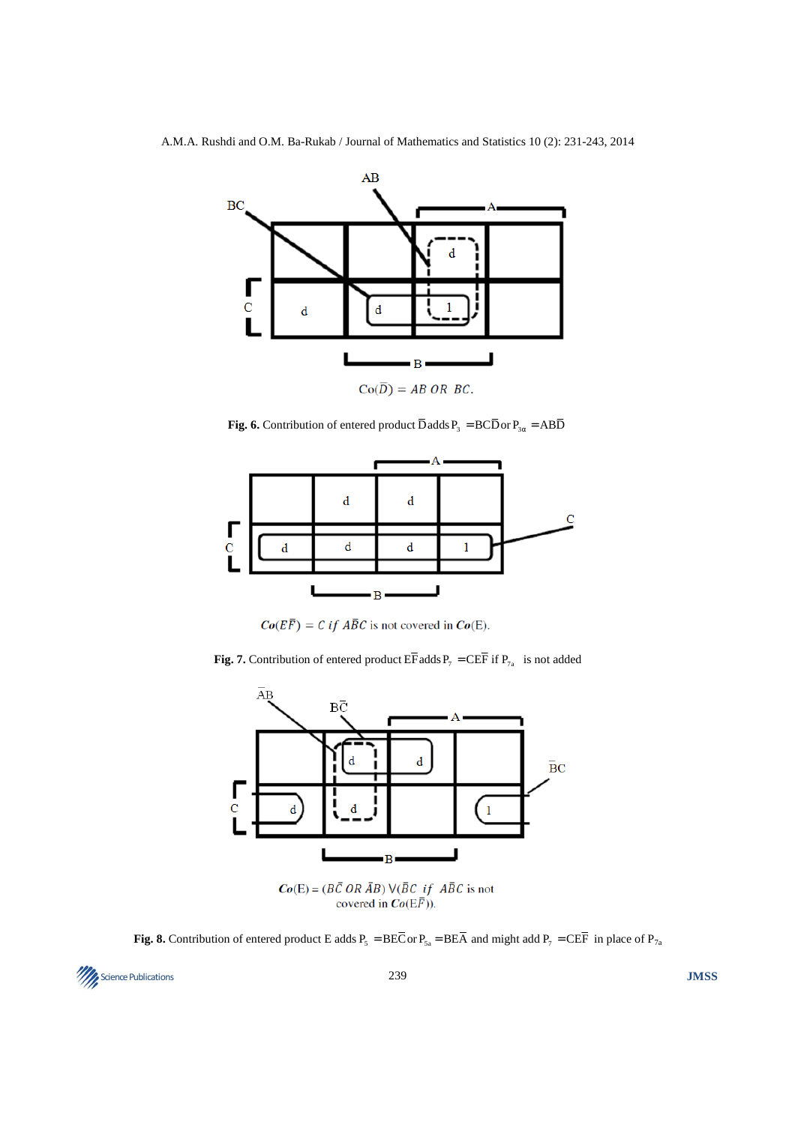

**Fig. 6.** Contribution of entered product  $\overline{D}$  adds  $P_3 = BC\overline{D}$  or  $P_{3\alpha} = AB\overline{D}$ 



 $Co(E\overline{F}) = C$  if  $\overline{ABC}$  is not covered in  $Co(E)$ .

**Fig. 7.** Contribution of entered product  $E\overline{F}$  adds  $P_7 = C\overline{E}\overline{F}$  if  $P_{7a}$  is not added



 $Co(E) = (B\overline{C} \overline{OR} \overline{A}B) \overline{V} \overline{(B}C \overline{if} \overline{A}B\overline{C})$  is not<br>covered in  $Co(E\overline{F})$ ).

**Fig. 8.** Contribution of entered product E adds  $P_5 = BE\overline{C}$  or  $P_{5a} = BE\overline{A}$  and might add  $P_7 = CE\overline{F}$  in place of  $P_{7a}$ 

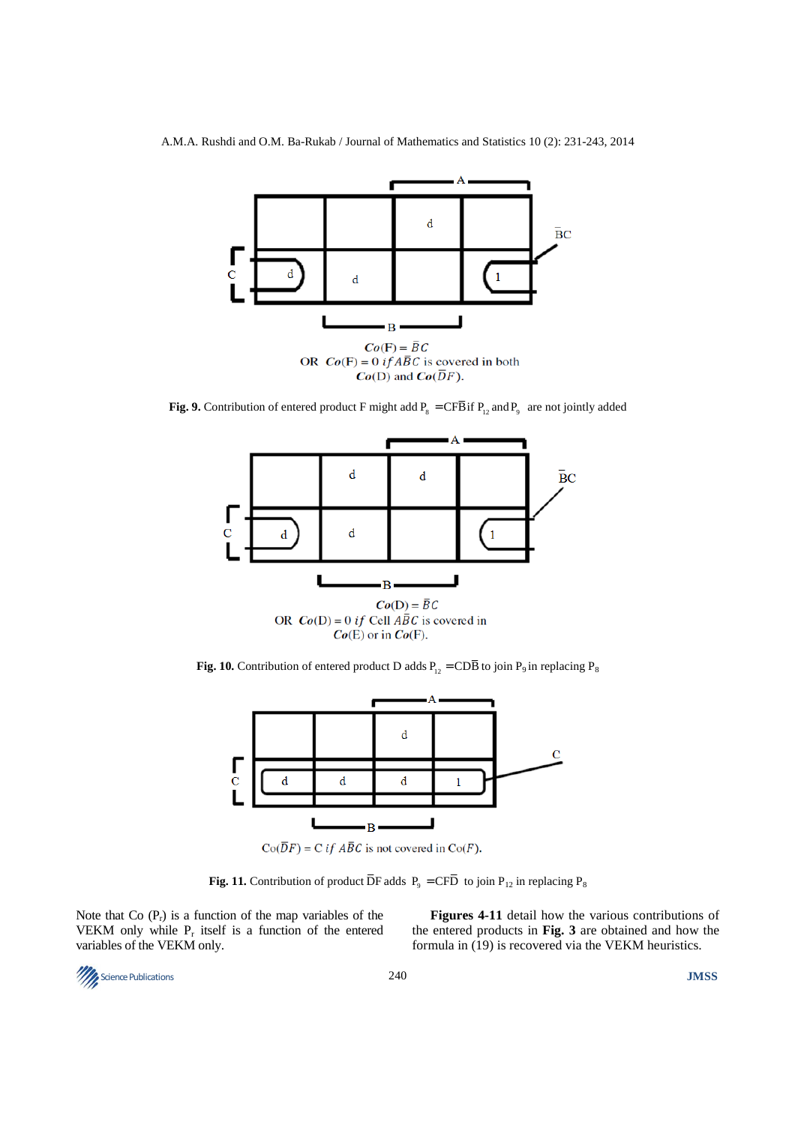

**Fig. 9.** Contribution of entered product F might add  $P_8 = C\overline{F}B$  if  $P_{12}$  and  $P_9$  are not jointly added



**Fig. 10.** Contribution of entered product D adds  $P_{12} = CDB$  to join  $P_9$  in replacing  $P_8$ 



 $Co(\overline{D}F) = C$  *if ABC* is not covered in  $Co(F)$ .

**Fig. 11.** Contribution of product  $\overline{DF}$  adds  $P_9 = C\overline{FD}$  to join  $P_{12}$  in replacing  $P_8$ 

Note that Co  $(P_r)$  is a function of the map variables of the VEKM only while  $P_r$  itself is a function of the entered variables of the VEKM only.

**Figures 4-11** detail how the various contributions of the entered products in **Fig. 3** are obtained and how the formula in (19) is recovered via the VEKM heuristics.

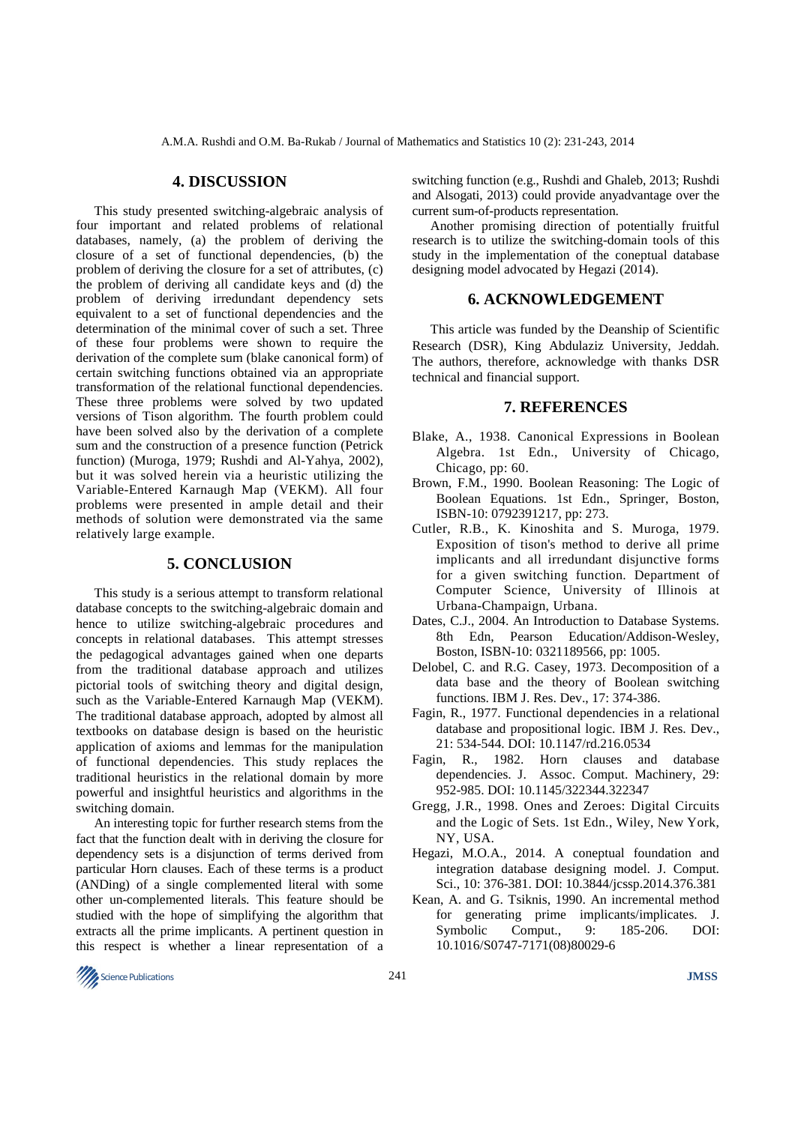### **4. DISCUSSION**

This study presented switching-algebraic analysis of four important and related problems of relational databases, namely, (a) the problem of deriving the closure of a set of functional dependencies, (b) the problem of deriving the closure for a set of attributes, (c) the problem of deriving all candidate keys and (d) the problem of deriving irredundant dependency sets equivalent to a set of functional dependencies and the determination of the minimal cover of such a set. Three of these four problems were shown to require the derivation of the complete sum (blake canonical form) of certain switching functions obtained via an appropriate transformation of the relational functional dependencies. These three problems were solved by two updated versions of Tison algorithm. The fourth problem could have been solved also by the derivation of a complete sum and the construction of a presence function (Petrick function) (Muroga, 1979; Rushdi and Al-Yahya, 2002), but it was solved herein via a heuristic utilizing the Variable-Entered Karnaugh Map (VEKM). All four problems were presented in ample detail and their methods of solution were demonstrated via the same relatively large example.

# **5. CONCLUSION**

This study is a serious attempt to transform relational database concepts to the switching-algebraic domain and hence to utilize switching-algebraic procedures and concepts in relational databases. This attempt stresses the pedagogical advantages gained when one departs from the traditional database approach and utilizes pictorial tools of switching theory and digital design, such as the Variable-Entered Karnaugh Map (VEKM). The traditional database approach, adopted by almost all textbooks on database design is based on the heuristic application of axioms and lemmas for the manipulation of functional dependencies. This study replaces the traditional heuristics in the relational domain by more powerful and insightful heuristics and algorithms in the switching domain.

An interesting topic for further research stems from the fact that the function dealt with in deriving the closure for dependency sets is a disjunction of terms derived from particular Horn clauses. Each of these terms is a product (ANDing) of a single complemented literal with some other un-complemented literals. This feature should be studied with the hope of simplifying the algorithm that extracts all the prime implicants. A pertinent question in this respect is whether a linear representation of a

switching function (e.g., Rushdi and Ghaleb, 2013; Rushdi and Alsogati, 2013) could provide anyadvantage over the current sum-of-products representation.

Another promising direction of potentially fruitful research is to utilize the switching-domain tools of this study in the implementation of the coneptual database designing model advocated by Hegazi (2014).

# **6. ACKNOWLEDGEMENT**

This article was funded by the Deanship of Scientific Research (DSR), King Abdulaziz University, Jeddah. The authors, therefore, acknowledge with thanks DSR technical and financial support.

#### **7. REFERENCES**

- Blake, A., 1938. Canonical Expressions in Boolean Algebra. 1st Edn., University of Chicago, Chicago, pp: 60.
- Brown, F.M., 1990. Boolean Reasoning: The Logic of Boolean Equations. 1st Edn., Springer, Boston, ISBN-10: 0792391217, pp: 273.
- Cutler, R.B., K. Kinoshita and S. Muroga, 1979. Exposition of tison's method to derive all prime implicants and all irredundant disjunctive forms for a given switching function. Department of Computer Science, University of Illinois at Urbana-Champaign, Urbana.
- Dates, C.J., 2004. An Introduction to Database Systems. 8th Edn, Pearson Education/Addison-Wesley, Boston, ISBN-10: 0321189566, pp: 1005.
- Delobel, C. and R.G. Casey, 1973. Decomposition of a data base and the theory of Boolean switching functions. IBM J. Res. Dev., 17: 374-386.
- Fagin, R., 1977. Functional dependencies in a relational database and propositional logic. IBM J. Res. Dev., 21: 534-544. DOI: 10.1147/rd.216.0534
- Fagin, R., 1982. Horn clauses and database dependencies. J. Assoc. Comput. Machinery, 29: 952-985. DOI: 10.1145/322344.322347
- Gregg, J.R., 1998. Ones and Zeroes: Digital Circuits and the Logic of Sets. 1st Edn., Wiley, New York, NY, USA.
- Hegazi, M.O.A., 2014. A coneptual foundation and integration database designing model. J. Comput. Sci., 10: 376-381. DOI: 10.3844/jcssp.2014.376.381
- Kean, A. and G. Tsiknis, 1990. An incremental method for generating prime implicants/implicates. J. Symbolic Comput., 9: 185-206. DOI: 10.1016/S0747-7171(08)80029-6

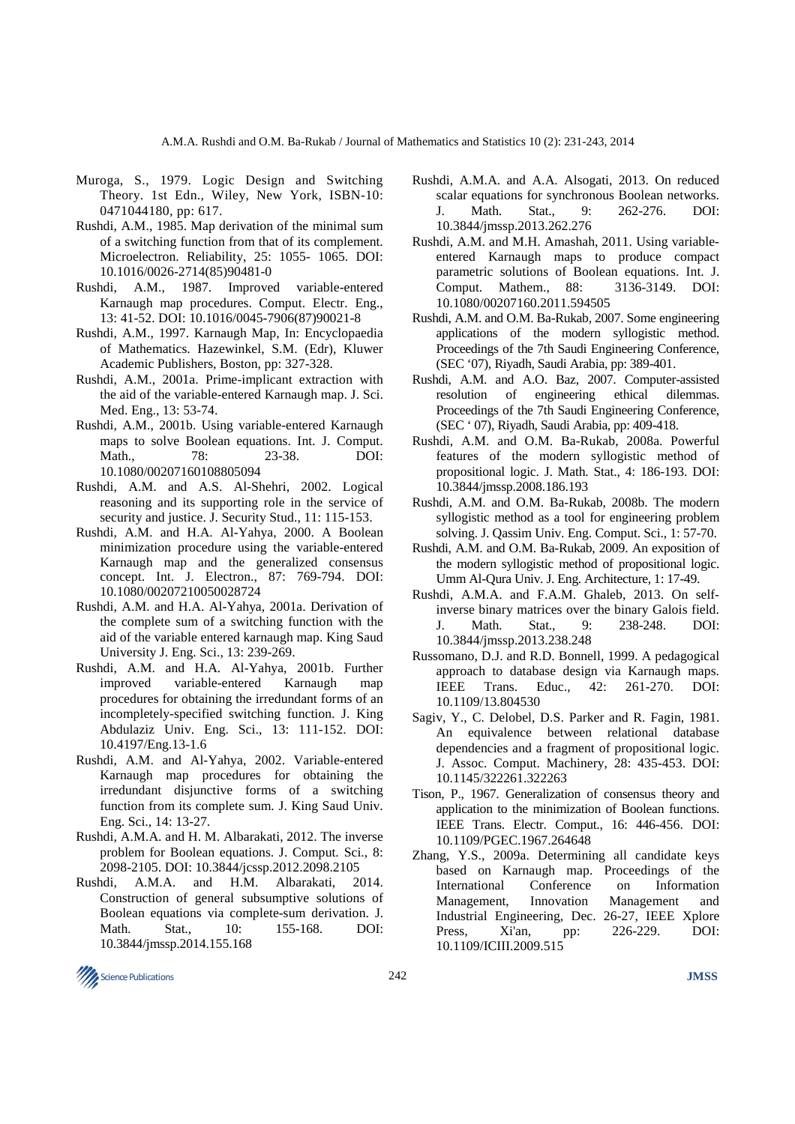- Muroga, S., 1979. Logic Design and Switching Theory. 1st Edn., Wiley, New York, ISBN-10: 0471044180, pp: 617.
- Rushdi, A.M., 1985. Map derivation of the minimal sum of a switching function from that of its complement. Microelectron. Reliability, 25: 1055- 1065. DOI: 10.1016/0026-2714(85)90481-0
- Rushdi, A.M., 1987. Improved variable-entered Karnaugh map procedures. Comput. Electr. Eng., 13: 41-52. DOI: 10.1016/0045-7906(87)90021-8
- Rushdi, A.M., 1997. Karnaugh Map, In: Encyclopaedia of Mathematics. Hazewinkel, S.M. (Edr), Kluwer Academic Publishers, Boston, pp: 327-328.
- Rushdi, A.M., 2001a. Prime-implicant extraction with the aid of the variable-entered Karnaugh map. J. Sci. Med. Eng., 13: 53-74.
- Rushdi, A.M., 2001b. Using variable-entered Karnaugh maps to solve Boolean equations. Int. J. Comput. Math., 78: 23-38. DOI: 10.1080/00207160108805094
- Rushdi, A.M. and A.S. Al-Shehri, 2002. Logical reasoning and its supporting role in the service of security and justice. J. Security Stud., 11: 115-153.
- Rushdi, A.M. and H.A. Al-Yahya, 2000. A Boolean minimization procedure using the variable-entered Karnaugh map and the generalized consensus concept. Int. J. Electron., 87: 769-794. DOI: 10.1080/00207210050028724
- Rushdi, A.M. and H.A. Al-Yahya, 2001a. Derivation of the complete sum of a switching function with the aid of the variable entered karnaugh map. King Saud University J. Eng. Sci., 13: 239-269.
- Rushdi, A.M. and H.A. Al-Yahya, 2001b. Further improved variable-entered Karnaugh map procedures for obtaining the irredundant forms of an incompletely-specified switching function. J. King Abdulaziz Univ. Eng. Sci., 13: 111-152. DOI: 10.4197/Eng.13-1.6
- Rushdi, A.M. and Al-Yahya, 2002. Variable-entered Karnaugh map procedures for obtaining the irredundant disjunctive forms of a switching function from its complete sum. J. King Saud Univ. Eng. Sci., 14: 13-27.
- Rushdi, A.M.A. and H. M. Albarakati, 2012. The inverse problem for Boolean equations. J. Comput. Sci., 8: 2098-2105. DOI: 10.3844/jcssp.2012.2098.2105
- Rushdi, A.M.A. and H.M. Albarakati, 2014. Construction of general subsumptive solutions of Boolean equations via complete-sum derivation. J. Math. Stat., 10: 155-168. DOI: 10.3844/jmssp.2014.155.168
- Rushdi, A.M.A. and A.A. Alsogati, 2013. On reduced scalar equations for synchronous Boolean networks. J. Math. Stat., 9: 262-276. DOI: 10.3844/jmssp.2013.262.276
- Rushdi, A.M. and M.H. Amashah, 2011. Using variableentered Karnaugh maps to produce compact parametric solutions of Boolean equations. Int. J. Comput. Mathem., 88: 3136-3149. DOI: 10.1080/00207160.2011.594505
- Rushdi, A.M. and O.M. Ba-Rukab, 2007. Some engineering applications of the modern syllogistic method. Proceedings of the 7th Saudi Engineering Conference, (SEC '07), Riyadh, Saudi Arabia, pp: 389-401.
- Rushdi, A.M. and A.O. Baz, 2007. Computer-assisted resolution of engineering ethical dilemmas. Proceedings of the 7th Saudi Engineering Conference, (SEC ' 07), Riyadh, Saudi Arabia, pp: 409-418.
- Rushdi, A.M. and O.M. Ba-Rukab, 2008a. Powerful features of the modern syllogistic method of propositional logic. J. Math. Stat., 4: 186-193. DOI: 10.3844/jmssp.2008.186.193
- Rushdi, A.M. and O.M. Ba-Rukab, 2008b. The modern syllogistic method as a tool for engineering problem solving. J. Qassim Univ. Eng. Comput. Sci., 1: 57-70.
- Rushdi, A.M. and O.M. Ba-Rukab, 2009. An exposition of the modern syllogistic method of propositional logic. Umm Al-Qura Univ. J. Eng. Architecture, 1: 17-49.
- Rushdi, A.M.A. and F.A.M. Ghaleb, 2013. On selfinverse binary matrices over the binary Galois field. J. Math. Stat., 9: 238-248. DOI: 10.3844/jmssp.2013.238.248
- Russomano, D.J. and R.D. Bonnell, 1999. A pedagogical approach to database design via Karnaugh maps. IEEE Trans. Educ., 42: 261-270. DOI: 10.1109/13.804530
- Sagiv, Y., C. Delobel, D.S. Parker and R. Fagin, 1981. An equivalence between relational database dependencies and a fragment of propositional logic. J. Assoc. Comput. Machinery, 28: 435-453. DOI: 10.1145/322261.322263
- Tison, P., 1967. Generalization of consensus theory and application to the minimization of Boolean functions. IEEE Trans. Electr. Comput., 16: 446-456. DOI: 10.1109/PGEC.1967.264648
- Zhang, Y.S., 2009a. Determining all candidate keys based on Karnaugh map. Proceedings of the International Conference on Information Management, Innovation Management and Industrial Engineering, Dec. 26-27, IEEE Xplore Press, Xi'an, pp: 226-229. DOI: 10.1109/ICIII.2009.515